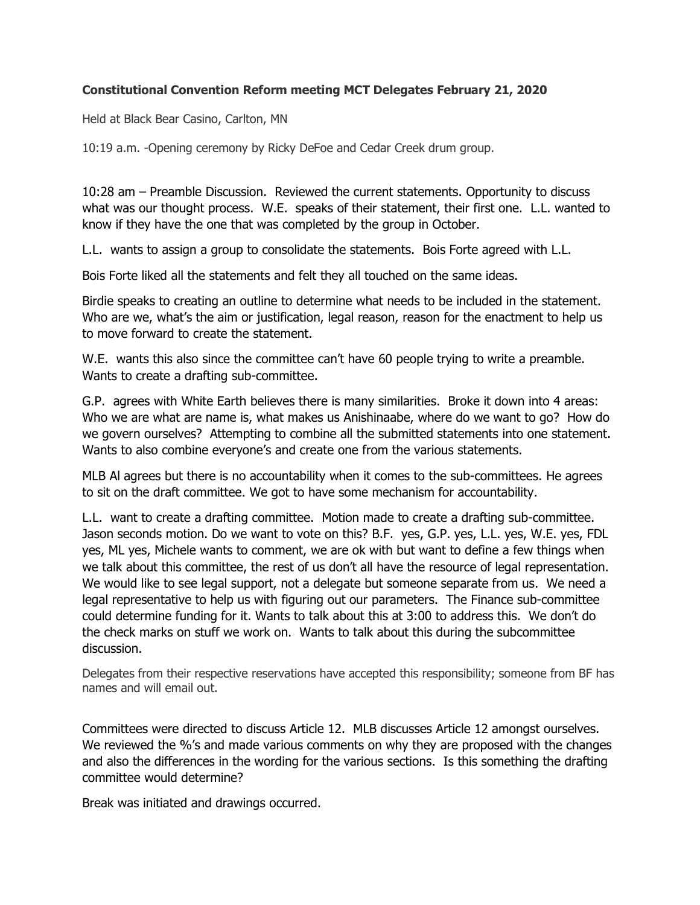## Constitutional Convention Reform meeting MCT Delegates February 21, 2020

Held at Black Bear Casino, Carlton, MN

10:19 a.m. -Opening ceremony by Ricky DeFoe and Cedar Creek drum group.

10:28 am – Preamble Discussion. Reviewed the current statements. Opportunity to discuss what was our thought process. W.E. speaks of their statement, their first one. L.L. wanted to know if they have the one that was completed by the group in October.

L.L. wants to assign a group to consolidate the statements. Bois Forte agreed with L.L.

Bois Forte liked all the statements and felt they all touched on the same ideas.

Birdie speaks to creating an outline to determine what needs to be included in the statement. Who are we, what's the aim or justification, legal reason, reason for the enactment to help us to move forward to create the statement.

W.E. wants this also since the committee can't have 60 people trying to write a preamble. Wants to create a drafting sub-committee.

G.P. agrees with White Earth believes there is many similarities. Broke it down into 4 areas: Who we are what are name is, what makes us Anishinaabe, where do we want to go? How do we govern ourselves? Attempting to combine all the submitted statements into one statement. Wants to also combine everyone's and create one from the various statements.

MLB Al agrees but there is no accountability when it comes to the sub-committees. He agrees to sit on the draft committee. We got to have some mechanism for accountability.

L.L. want to create a drafting committee. Motion made to create a drafting sub-committee. Jason seconds motion. Do we want to vote on this? B.F. yes, G.P. yes, L.L. yes, W.E. yes, FDL yes, ML yes, Michele wants to comment, we are ok with but want to define a few things when we talk about this committee, the rest of us don't all have the resource of legal representation. We would like to see legal support, not a delegate but someone separate from us. We need a legal representative to help us with figuring out our parameters. The Finance sub-committee could determine funding for it. Wants to talk about this at 3:00 to address this. We don't do the check marks on stuff we work on. Wants to talk about this during the subcommittee discussion.

Delegates from their respective reservations have accepted this responsibility; someone from BF has names and will email out.

Committees were directed to discuss Article 12. MLB discusses Article 12 amongst ourselves. We reviewed the %'s and made various comments on why they are proposed with the changes and also the differences in the wording for the various sections. Is this something the drafting committee would determine?

Break was initiated and drawings occurred.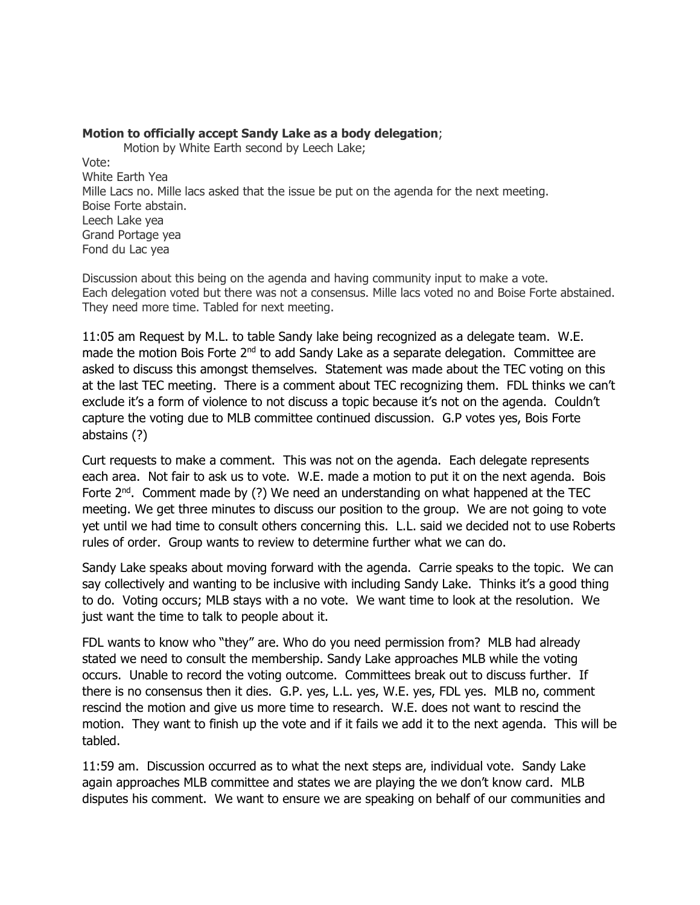#### Motion to officially accept Sandy Lake as a body delegation;

Motion by White Earth second by Leech Lake;

Vote: White Earth Yea Mille Lacs no. Mille lacs asked that the issue be put on the agenda for the next meeting. Boise Forte abstain. Leech Lake yea Grand Portage yea Fond du Lac yea

Discussion about this being on the agenda and having community input to make a vote. Each delegation voted but there was not a consensus. Mille lacs voted no and Boise Forte abstained. They need more time. Tabled for next meeting.

11:05 am Request by M.L. to table Sandy lake being recognized as a delegate team. W.E. made the motion Bois Forte 2<sup>nd</sup> to add Sandy Lake as a separate delegation. Committee are asked to discuss this amongst themselves. Statement was made about the TEC voting on this at the last TEC meeting. There is a comment about TEC recognizing them. FDL thinks we can't exclude it's a form of violence to not discuss a topic because it's not on the agenda. Couldn't capture the voting due to MLB committee continued discussion. G.P votes yes, Bois Forte abstains (?)

Curt requests to make a comment. This was not on the agenda. Each delegate represents each area. Not fair to ask us to vote. W.E. made a motion to put it on the next agenda. Bois Forte  $2^{nd}$ . Comment made by (?) We need an understanding on what happened at the TEC meeting. We get three minutes to discuss our position to the group. We are not going to vote yet until we had time to consult others concerning this. L.L. said we decided not to use Roberts rules of order. Group wants to review to determine further what we can do.

Sandy Lake speaks about moving forward with the agenda. Carrie speaks to the topic. We can say collectively and wanting to be inclusive with including Sandy Lake. Thinks it's a good thing to do. Voting occurs; MLB stays with a no vote. We want time to look at the resolution. We just want the time to talk to people about it.

FDL wants to know who "they" are. Who do you need permission from? MLB had already stated we need to consult the membership. Sandy Lake approaches MLB while the voting occurs. Unable to record the voting outcome. Committees break out to discuss further. If there is no consensus then it dies. G.P. yes, L.L. yes, W.E. yes, FDL yes. MLB no, comment rescind the motion and give us more time to research. W.E. does not want to rescind the motion. They want to finish up the vote and if it fails we add it to the next agenda. This will be tabled.

11:59 am. Discussion occurred as to what the next steps are, individual vote. Sandy Lake again approaches MLB committee and states we are playing the we don't know card. MLB disputes his comment. We want to ensure we are speaking on behalf of our communities and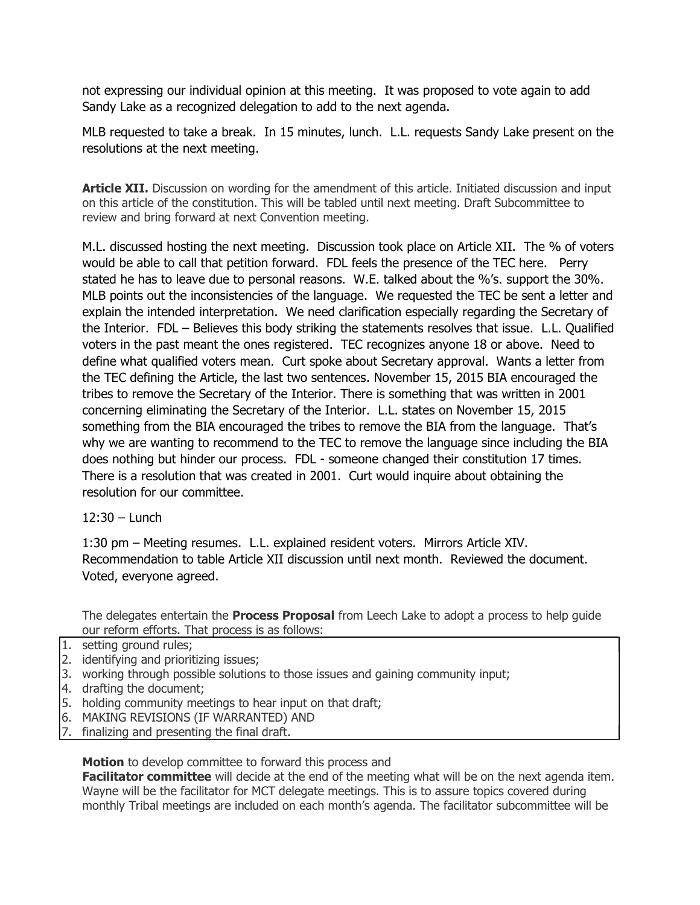not expressing our individual opinion at this meeting. It was proposed to vote again to add Sandy Lake as a recognized delegation to add to the next agenda.

MLB requested to take a break. In 15 minutes, lunch. L.L. requests Sandy Lake present on the resolutions at the next meeting.

Article XII. Discussion on wording for the amendment of this article. Initiated discussion and input on this article of the constitution. This will be tabled until next meeting. Draft Subcommittee to review and bring forward at next Convention meeting.

M.L. discussed hosting the next meeting. Discussion took place on Article XII. The % of voters would be able to call that petition forward. FDL feels the presence of the TEC here. Perry stated he has to leave due to personal reasons. W.E. talked about the %'s. support the 30%. MLB points out the inconsistencies of the language. We requested the TEC be sent a letter and explain the intended interpretation. We need clarification especially regarding the Secretary of the Interior. FDL – Believes this body striking the statements resolves that issue. L.L. Qualified voters in the past meant the ones registered. TEC recognizes anyone 18 or above. Need to define what qualified voters mean. Curt spoke about Secretary approval. Wants a letter from the TEC defining the Article, the last two sentences. November 15, 2015 BIA encouraged the tribes to remove the Secretary of the Interior. There is something that was written in 2001 concerning eliminating the Secretary of the Interior. L.L. states on November 15, 2015 something from the BIA encouraged the tribes to remove the BIA from the language. That's why we are wanting to recommend to the TEC to remove the language since including the BIA does nothing but hinder our process. FDL - someone changed their constitution 17 times. There is a resolution that was created in 2001. Curt would inquire about obtaining the resolution for our committee.

 $12:30 - 1$  unch

1:30 pm – Meeting resumes. L.L. explained resident voters. Mirrors Article XIV. Recommendation to table Article XII discussion until next month. Reviewed the document. Voted, everyone agreed.

The delegates entertain the **Process Proposal** from Leech Lake to adopt a process to help guide our reform efforts. That process is as follows:

- 1. setting ground rules;
- 2. identifying and prioritizing issues;
- 3. working through possible solutions to those issues and gaining community input;
- 4. drafting the document;
- 5. holding community meetings to hear input on that draft;
- 6. MAKING REVISIONS (IF WARRANTED) AND
- 7. finalizing and presenting the final draft.

Motion to develop committee to forward this process and

**Facilitator committee** will decide at the end of the meeting what will be on the next agenda item. Wayne will be the facilitator for MCT delegate meetings. This is to assure topics covered during monthly Tribal meetings are included on each month's agenda. The facilitator subcommittee will be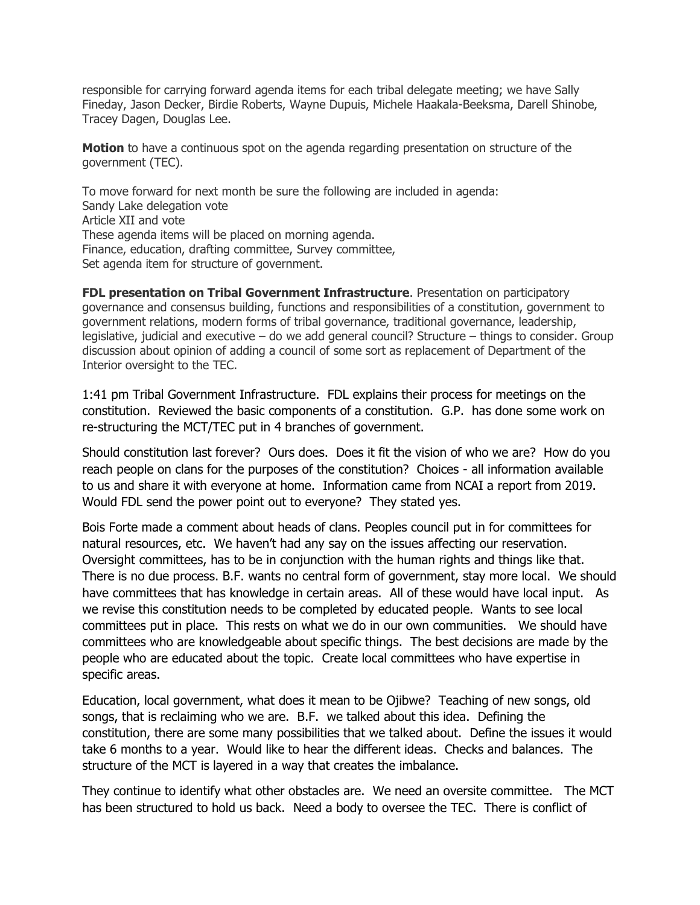responsible for carrying forward agenda items for each tribal delegate meeting; we have Sally Fineday, Jason Decker, Birdie Roberts, Wayne Dupuis, Michele Haakala-Beeksma, Darell Shinobe, Tracey Dagen, Douglas Lee.

**Motion** to have a continuous spot on the agenda regarding presentation on structure of the government (TEC).

To move forward for next month be sure the following are included in agenda: Sandy Lake delegation vote Article XII and vote These agenda items will be placed on morning agenda. Finance, education, drafting committee, Survey committee, Set agenda item for structure of government.

**FDL presentation on Tribal Government Infrastructure.** Presentation on participatory governance and consensus building, functions and responsibilities of a constitution, government to government relations, modern forms of tribal governance, traditional governance, leadership, legislative, judicial and executive – do we add general council? Structure – things to consider. Group discussion about opinion of adding a council of some sort as replacement of Department of the Interior oversight to the TEC.

1:41 pm Tribal Government Infrastructure. FDL explains their process for meetings on the constitution. Reviewed the basic components of a constitution. G.P. has done some work on re-structuring the MCT/TEC put in 4 branches of government.

Should constitution last forever? Ours does. Does it fit the vision of who we are? How do you reach people on clans for the purposes of the constitution? Choices - all information available to us and share it with everyone at home. Information came from NCAI a report from 2019. Would FDL send the power point out to everyone? They stated yes.

Bois Forte made a comment about heads of clans. Peoples council put in for committees for natural resources, etc. We haven't had any say on the issues affecting our reservation. Oversight committees, has to be in conjunction with the human rights and things like that. There is no due process. B.F. wants no central form of government, stay more local. We should have committees that has knowledge in certain areas. All of these would have local input. As we revise this constitution needs to be completed by educated people. Wants to see local committees put in place. This rests on what we do in our own communities. We should have committees who are knowledgeable about specific things. The best decisions are made by the people who are educated about the topic. Create local committees who have expertise in specific areas.

Education, local government, what does it mean to be Ojibwe? Teaching of new songs, old songs, that is reclaiming who we are. B.F. we talked about this idea. Defining the constitution, there are some many possibilities that we talked about. Define the issues it would take 6 months to a year. Would like to hear the different ideas. Checks and balances. The structure of the MCT is layered in a way that creates the imbalance.

They continue to identify what other obstacles are. We need an oversite committee. The MCT has been structured to hold us back. Need a body to oversee the TEC. There is conflict of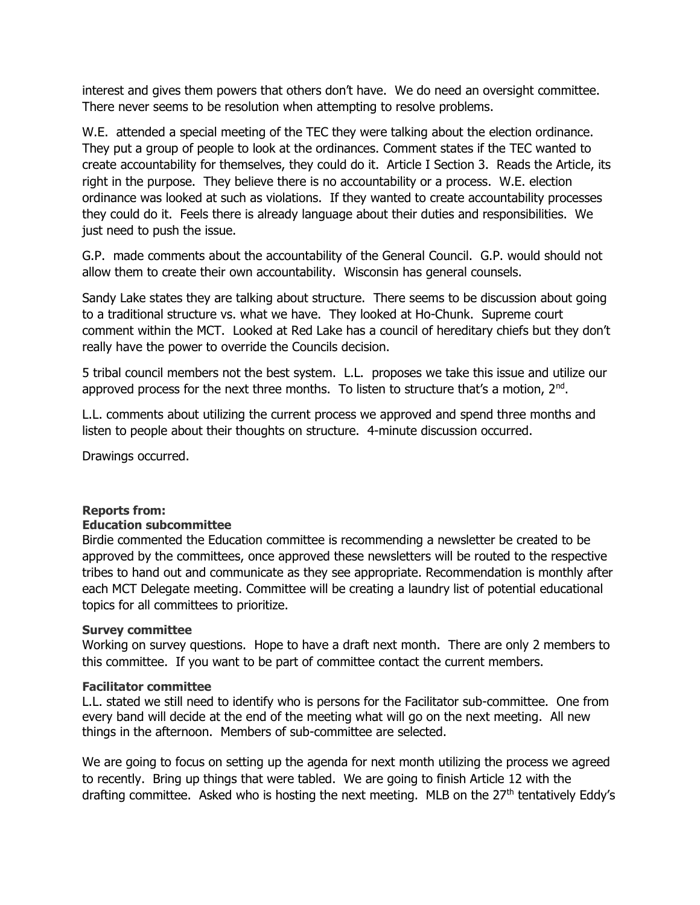interest and gives them powers that others don't have. We do need an oversight committee. There never seems to be resolution when attempting to resolve problems.

W.E. attended a special meeting of the TEC they were talking about the election ordinance. They put a group of people to look at the ordinances. Comment states if the TEC wanted to create accountability for themselves, they could do it. Article I Section 3. Reads the Article, its right in the purpose. They believe there is no accountability or a process. W.E. election ordinance was looked at such as violations. If they wanted to create accountability processes they could do it. Feels there is already language about their duties and responsibilities. We just need to push the issue.

G.P. made comments about the accountability of the General Council. G.P. would should not allow them to create their own accountability. Wisconsin has general counsels.

Sandy Lake states they are talking about structure. There seems to be discussion about going to a traditional structure vs. what we have. They looked at Ho-Chunk. Supreme court comment within the MCT. Looked at Red Lake has a council of hereditary chiefs but they don't really have the power to override the Councils decision.

5 tribal council members not the best system. L.L. proposes we take this issue and utilize our approved process for the next three months. To listen to structure that's a motion, 2<sup>nd</sup>.

L.L. comments about utilizing the current process we approved and spend three months and listen to people about their thoughts on structure. 4-minute discussion occurred.

Drawings occurred.

## Reports from:

#### Education subcommittee

Birdie commented the Education committee is recommending a newsletter be created to be approved by the committees, once approved these newsletters will be routed to the respective tribes to hand out and communicate as they see appropriate. Recommendation is monthly after each MCT Delegate meeting. Committee will be creating a laundry list of potential educational topics for all committees to prioritize.

#### Survey committee

Working on survey questions. Hope to have a draft next month. There are only 2 members to this committee. If you want to be part of committee contact the current members.

#### Facilitator committee

L.L. stated we still need to identify who is persons for the Facilitator sub-committee. One from every band will decide at the end of the meeting what will go on the next meeting. All new things in the afternoon. Members of sub-committee are selected.

We are going to focus on setting up the agenda for next month utilizing the process we agreed to recently. Bring up things that were tabled. We are going to finish Article 12 with the drafting committee. Asked who is hosting the next meeting. MLB on the  $27<sup>th</sup>$  tentatively Eddy's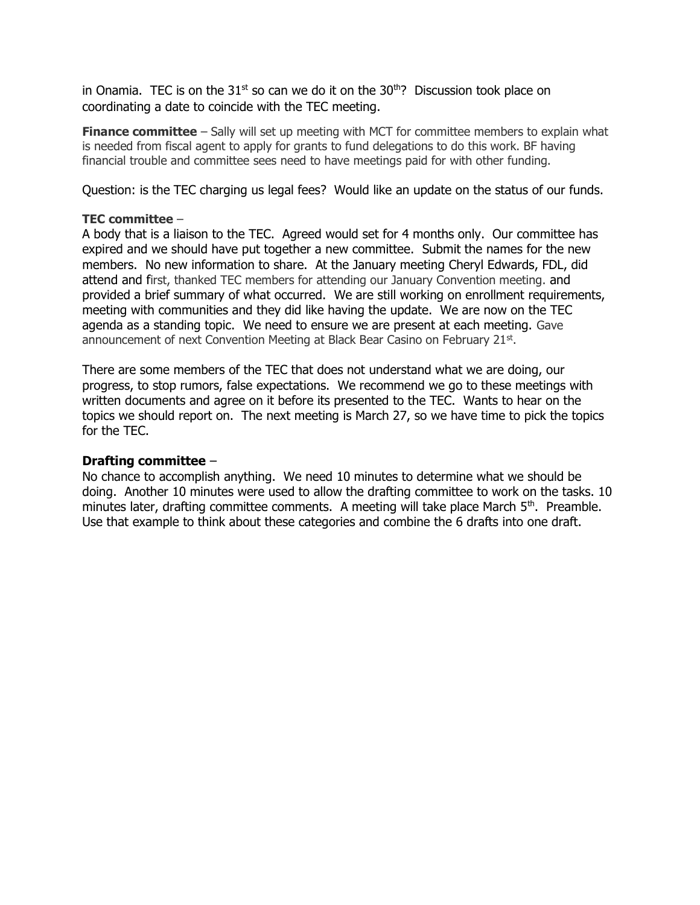in Onamia. TEC is on the  $31<sup>st</sup>$  so can we do it on the  $30<sup>th</sup>$ ? Discussion took place on coordinating a date to coincide with the TEC meeting.

Finance committee – Sally will set up meeting with MCT for committee members to explain what is needed from fiscal agent to apply for grants to fund delegations to do this work. BF having financial trouble and committee sees need to have meetings paid for with other funding.

Question: is the TEC charging us legal fees? Would like an update on the status of our funds.

### TEC committee –

A body that is a liaison to the TEC. Agreed would set for 4 months only. Our committee has expired and we should have put together a new committee. Submit the names for the new members. No new information to share. At the January meeting Cheryl Edwards, FDL, did attend and first, thanked TEC members for attending our January Convention meeting. and provided a brief summary of what occurred. We are still working on enrollment requirements, meeting with communities and they did like having the update. We are now on the TEC agenda as a standing topic. We need to ensure we are present at each meeting. Gave announcement of next Convention Meeting at Black Bear Casino on February 21st.

There are some members of the TEC that does not understand what we are doing, our progress, to stop rumors, false expectations. We recommend we go to these meetings with written documents and agree on it before its presented to the TEC. Wants to hear on the topics we should report on. The next meeting is March 27, so we have time to pick the topics for the TEC.

## Drafting committee –

No chance to accomplish anything. We need 10 minutes to determine what we should be doing. Another 10 minutes were used to allow the drafting committee to work on the tasks. 10 minutes later, drafting committee comments. A meeting will take place March 5<sup>th</sup>. Preamble. Use that example to think about these categories and combine the 6 drafts into one draft.